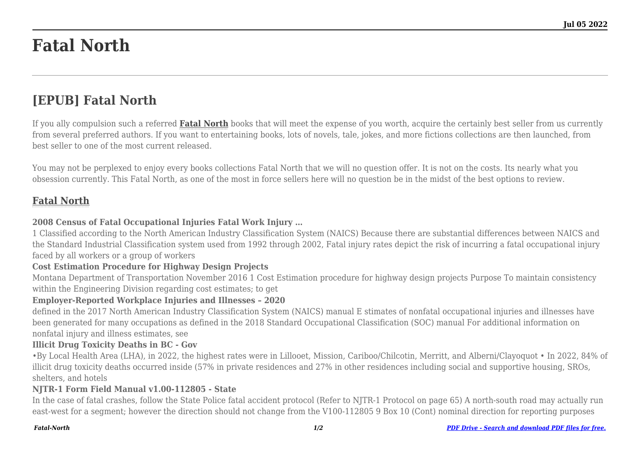# **Fatal North**

# **[EPUB] Fatal North**

If you ally compulsion such a referred **[Fatal North](http://jessicaberan.com)** books that will meet the expense of you worth, acquire the certainly best seller from us currently from several preferred authors. If you want to entertaining books, lots of novels, tale, jokes, and more fictions collections are then launched, from best seller to one of the most current released.

You may not be perplexed to enjoy every books collections Fatal North that we will no question offer. It is not on the costs. Its nearly what you obsession currently. This Fatal North, as one of the most in force sellers here will no question be in the midst of the best options to review.

# **[Fatal North](http://jessicaberan.com/Fatal-North.pdf)**

#### **2008 Census of Fatal Occupational Injuries Fatal Work Injury …**

1 Classified according to the North American Industry Classification System (NAICS) Because there are substantial differences between NAICS and the Standard Industrial Classification system used from 1992 through 2002, Fatal injury rates depict the risk of incurring a fatal occupational injury faced by all workers or a group of workers

#### **Cost Estimation Procedure for Highway Design Projects**

Montana Department of Transportation November 2016 1 Cost Estimation procedure for highway design projects Purpose To maintain consistency within the Engineering Division regarding cost estimates; to get

#### **Employer-Reported Workplace Injuries and Illnesses – 2020**

defined in the 2017 North American Industry Classification System (NAICS) manual E stimates of nonfatal occupational injuries and illnesses have been generated for many occupations as defined in the 2018 Standard Occupational Classification (SOC) manual For additional information on nonfatal injury and illness estimates, see

#### **Illicit Drug Toxicity Deaths in BC - Gov**

•By Local Health Area (LHA), in 2022, the highest rates were in Lillooet, Mission, Cariboo/Chilcotin, Merritt, and Alberni/Clayoquot • In 2022, 84% of illicit drug toxicity deaths occurred inside (57% in private residences and 27% in other residences including social and supportive housing, SROs, shelters, and hotels

#### **NJTR-1 Form Field Manual v1.00-112805 - State**

In the case of fatal crashes, follow the State Police fatal accident protocol (Refer to NJTR-1 Protocol on page 65) A north-south road may actually run east-west for a segment; however the direction should not change from the V100-112805 9 Box 10 (Cont) nominal direction for reporting purposes